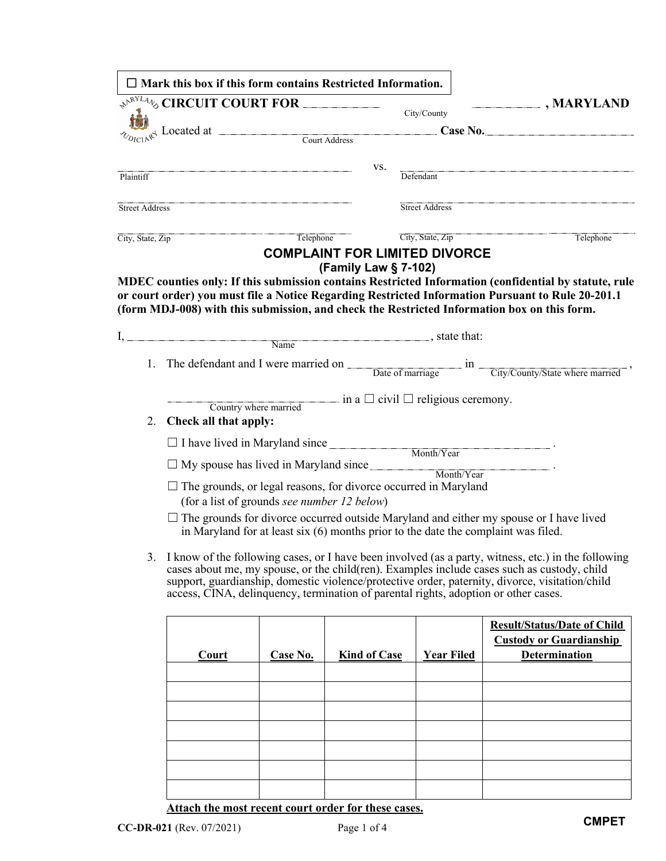|                       | $\Box$ Mark this box if this form contains Restricted Information.                                                                                                  |           |                      |                                                       |                                                                                                                                                                                                                                                                                                          |
|-----------------------|---------------------------------------------------------------------------------------------------------------------------------------------------------------------|-----------|----------------------|-------------------------------------------------------|----------------------------------------------------------------------------------------------------------------------------------------------------------------------------------------------------------------------------------------------------------------------------------------------------------|
|                       | $\leftarrow$ <sup><math>\leftarrow</math><sup><math>\leftarrow</math><i>NNL44</i></sup><math>\circ</math> CIRCUIT COURT FOR <math>\frac{1}{\leftarrow}</math></sup> |           |                      | City/County                                           | $\boxed{\blacksquare}$ , MARYLAND                                                                                                                                                                                                                                                                        |
|                       |                                                                                                                                                                     |           |                      | Case No.                                              |                                                                                                                                                                                                                                                                                                          |
|                       | $\frac{1}{2}$ Located at $\frac{1}{2}$ Located at $\frac{1}{2}$ Court Address                                                                                       |           |                      |                                                       |                                                                                                                                                                                                                                                                                                          |
| Plaintiff             |                                                                                                                                                                     |           | VS.                  | Defendant                                             |                                                                                                                                                                                                                                                                                                          |
|                       |                                                                                                                                                                     |           |                      |                                                       |                                                                                                                                                                                                                                                                                                          |
| <b>Street Address</b> |                                                                                                                                                                     |           |                      | <b>Street Address</b>                                 |                                                                                                                                                                                                                                                                                                          |
| City, State, Zip      |                                                                                                                                                                     | Telephone |                      | City, State, Zip<br>Telephone                         |                                                                                                                                                                                                                                                                                                          |
|                       |                                                                                                                                                                     |           |                      | <b>COMPLAINT FOR LIMITED DIVORCE</b>                  |                                                                                                                                                                                                                                                                                                          |
|                       |                                                                                                                                                                     |           | (Family Law § 7-102) |                                                       |                                                                                                                                                                                                                                                                                                          |
|                       |                                                                                                                                                                     |           |                      |                                                       | MDEC counties only: If this submission contains Restricted Information (confidential by statute, rule<br>or court order) you must file a Notice Regarding Restricted Information Pursuant to Rule 20-201.1                                                                                               |
|                       |                                                                                                                                                                     |           |                      |                                                       | (form MDJ-008) with this submission, and check the Restricted Information box on this form.                                                                                                                                                                                                              |
| Ι.                    |                                                                                                                                                                     | Name      |                      |                                                       |                                                                                                                                                                                                                                                                                                          |
|                       |                                                                                                                                                                     |           |                      |                                                       |                                                                                                                                                                                                                                                                                                          |
| 1.                    |                                                                                                                                                                     |           |                      |                                                       | The defendant and I were married on $\frac{a}{\frac{a}{\frac{1}{x}}\frac{1}{x}}$ in $\frac{c}{\frac{1}{x}}\frac{c}{\frac{1}{x}}$ ,                                                                                                                                                                       |
|                       |                                                                                                                                                                     |           |                      | $\equiv$ in a $\Box$ civil $\Box$ religious ceremony. |                                                                                                                                                                                                                                                                                                          |
| 2.                    | Country where married<br>Check all that apply:                                                                                                                      |           |                      |                                                       |                                                                                                                                                                                                                                                                                                          |
|                       |                                                                                                                                                                     |           |                      |                                                       |                                                                                                                                                                                                                                                                                                          |
|                       | □ I have lived in Maryland since<br>Month/Year                                                                                                                      |           |                      |                                                       |                                                                                                                                                                                                                                                                                                          |
|                       | $\Box$ My spouse has lived in Maryland since $\Box$                                                                                                                 |           |                      | Month/Year                                            |                                                                                                                                                                                                                                                                                                          |
|                       | $\Box$ The grounds, or legal reasons, for divorce occurred in Maryland<br>(for a list of grounds see number 12 below)                                               |           |                      |                                                       |                                                                                                                                                                                                                                                                                                          |
|                       |                                                                                                                                                                     |           |                      |                                                       | $\Box$ The grounds for divorce occurred outside Maryland and either my spouse or I have lived<br>in Maryland for at least six $(6)$ months prior to the date the complaint was filed.                                                                                                                    |
|                       | access, CINA, delinquency, termination of parental rights, adoption or other cases.                                                                                 |           |                      |                                                       | 3. I know of the following cases, or I have been involved (as a party, witness, etc.) in the following<br>cases about me, my spouse, or the child(ren). Examples include cases such as custody, child<br>support, guardianship, domestic violence/protective order, paternity, divorce, visitation/child |
|                       |                                                                                                                                                                     |           |                      |                                                       | <b>Result/Status/Date of Child</b>                                                                                                                                                                                                                                                                       |
|                       |                                                                                                                                                                     |           |                      |                                                       | <b>Custody or Guardianship</b>                                                                                                                                                                                                                                                                           |
|                       | Court                                                                                                                                                               | Case No.  | <b>Kind of Case</b>  | <b>Year Filed</b>                                     | <b>Determination</b>                                                                                                                                                                                                                                                                                     |
|                       |                                                                                                                                                                     |           |                      |                                                       |                                                                                                                                                                                                                                                                                                          |
|                       |                                                                                                                                                                     |           |                      |                                                       |                                                                                                                                                                                                                                                                                                          |
|                       |                                                                                                                                                                     |           |                      |                                                       |                                                                                                                                                                                                                                                                                                          |
|                       |                                                                                                                                                                     |           |                      |                                                       |                                                                                                                                                                                                                                                                                                          |
|                       |                                                                                                                                                                     |           |                      |                                                       |                                                                                                                                                                                                                                                                                                          |
|                       |                                                                                                                                                                     |           |                      |                                                       |                                                                                                                                                                                                                                                                                                          |
|                       |                                                                                                                                                                     |           |                      |                                                       |                                                                                                                                                                                                                                                                                                          |

**Attach the most recent court order for these cases.**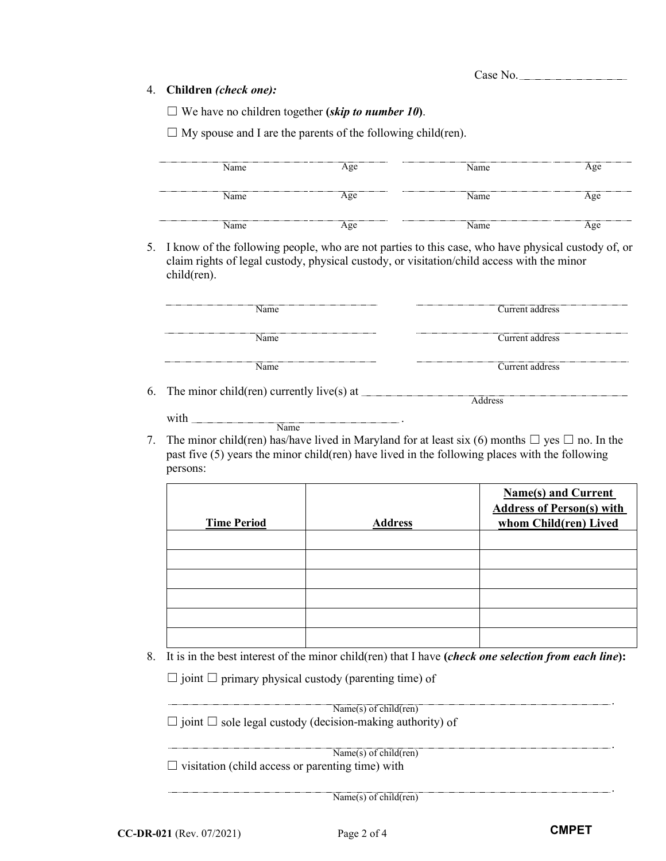Case No.

## 4. **Children** *(check one):*

☐ We have no children together **(***skip to number 10***)**.

 $\Box$  My spouse and I are the parents of the following child(ren).

| Name | <br>Age | Name | Age         |
|------|---------|------|-------------|
| Name | Age     | Name | Age         |
| Name | Α σe.   | Name | $\alpha$ oe |

5. I know of the following people, who are not parties to this case, who have physical custody of, or claim rights of legal custody, physical custody, or visitation/child access with the minor child(ren).

| <b>Name</b>                                        | Current address |
|----------------------------------------------------|-----------------|
| Name                                               | Current address |
| Name                                               | Current address |
| The minor $child($ non) our<br>partly $livo(s)$ et |                 |

- 6. The minor child(ren) currently live(s) at  $\equiv$ with . Name **Address**
- 7. The minor child(ren) has/have lived in Maryland for at least six (6) months  $\Box$  yes  $\Box$  no. In the past five (5) years the minor child(ren) have lived in the following places with the following persons:

| <b>Time Period</b> | <b>Address</b> | <b>Name(s) and Current</b><br><b>Address of Person(s) with</b><br>whom Child(ren) Lived |
|--------------------|----------------|-----------------------------------------------------------------------------------------|
|                    |                |                                                                                         |
|                    |                |                                                                                         |
|                    |                |                                                                                         |
|                    |                |                                                                                         |
|                    |                |                                                                                         |
|                    |                |                                                                                         |

8. It is in the best interest of the minor child(ren) that I have **(***check one selection from each line***):**

 $\Box$  joint  $\Box$  primary physical custody (parenting time) of

 $\Box$  joint  $\Box$  sole legal custody (decision-making authority) of Name(s) of child(ren)

 $\Box$  visitation (child access or parenting time) with  $\overline{\text{Name(s) of child}(\text{ren})}$ 

Name(s) of child(ren)

.

.

.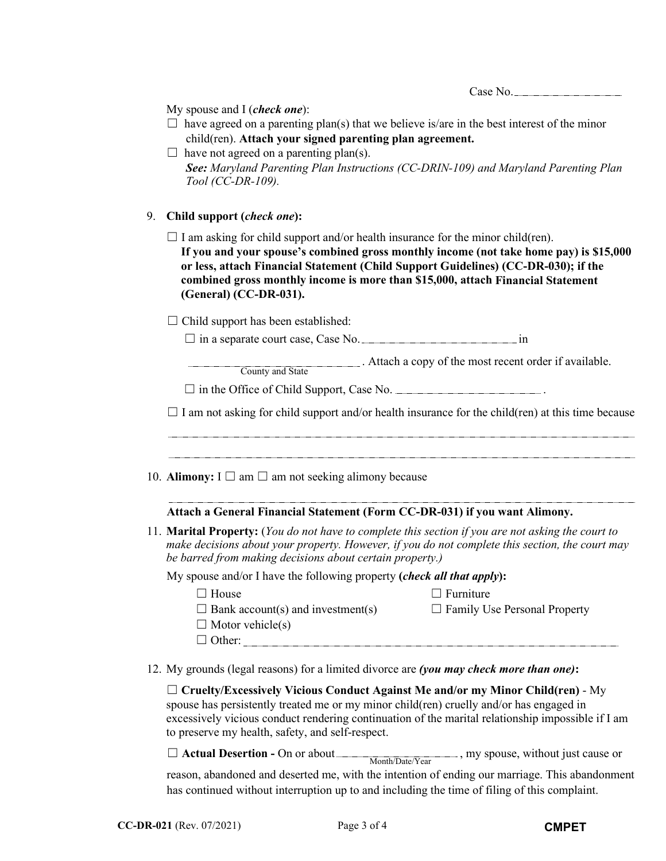|  | nse No. |
|--|---------|
|--|---------|

| My spouse and I (check one): |  |  |  |
|------------------------------|--|--|--|
|------------------------------|--|--|--|

- $\Box$  have agreed on a parenting plan(s) that we believe is/are in the best interest of the minor child(ren). **Attach your signed parenting plan agreement.**
- $\Box$  have not agreed on a parenting plan(s). *See: Maryland Parenting Plan Instructions (CC-DRIN-109) and Maryland Parenting Plan Tool (CC-DR-109).*

## 9. **Child support (***check one***):**

 $\Box$  I am asking for child support and/or health insurance for the minor child(ren). **If you and your spouse's combined gross monthly income (not take home pay) is \$15,000 or less, attach Financial Statement (Child Support Guidelines) (CC-DR-030); if the combined gross monthly income is more than \$15,000, attach Financial Statement (General) (CC-DR-031).**

 $\Box$  Child support has been established:

 $\Box$  in a separate court case, Case No.  $\Box$  in  $\Box$ 

. Attach a copy of the most recent order if available. County and State

 $\Box$  in the Office of Child Support, Case No.  $\Box$ 

 $\Box$  I am not asking for child support and/or health insurance for the child(ren) at this time because

10. **Alimony:**  $I \square$  am  $\square$  am not seeking alimony because

## **Attach a General Financial Statement (Form CC-DR-031) if you want Alimony.**

11. **Marital Property:** (*You do not have to complete this section if you are not asking the court to make decisions about your property. However, if you do not complete this section, the court may be barred from making decisions about certain property.)*

My spouse and/or I have the following property **(***check all that apply***):**

☐ House ☐ Furniture

 $\Box$  Bank account(s) and investment(s)  $\Box$  Family Use Personal Property

- 
- $\Box$  Motor vehicle(s) □ Other:
- 12. My grounds (legal reasons) for a limited divorce are *(you may check more than one)***:**

☐ **Cruelty/Excessively Vicious Conduct Against Me and/or my Minor Child(ren)** - My spouse has persistently treated me or my minor child(ren) cruelly and/or has engaged in excessively vicious conduct rendering continuation of the marital relationship impossible if I am to preserve my health, safety, and self-respect.

□ **Actual Desertion -** On or about Month/Date/Year, my spouse, without just cause or

reason, abandoned and deserted me, with the intention of ending our marriage. This abandonment has continued without interruption up to and including the time of filing of this complaint.